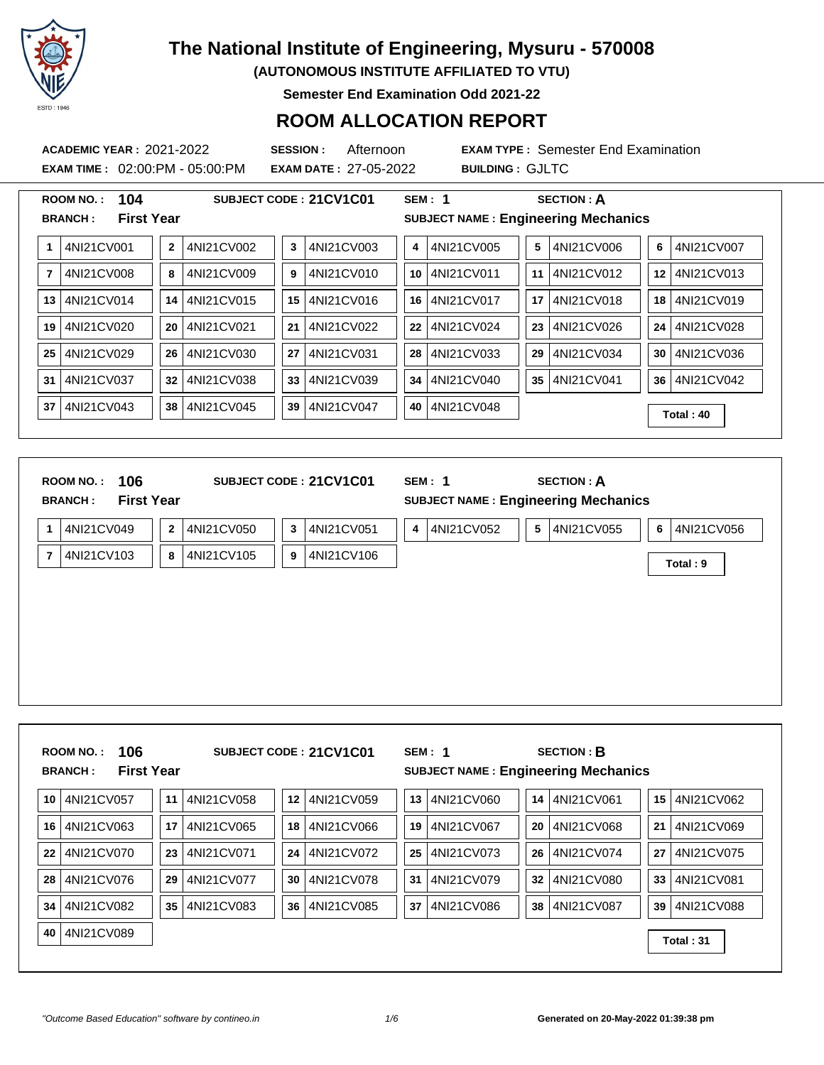

**(AUTONOMOUS INSTITUTE AFFILIATED TO VTU)**

**Semester End Examination Odd 2021-22**

### **ROOM ALLOCATION REPORT**

**EXAM TIME :** 02:00:PM - 05:00:PM **EXAM DATE :** 27-05-2022 **BUILDING :** GJLTC

**ACADEMIC YEAR :** 2021-2022 **SESSION :** Afternoon **EXAM TYPE :** Semester End Examination

|              | 104<br><b>ROOM NO.:</b>             |              |            |                 | SUBJECT CODE: 21CV1C01 |    | SEM: 1                                     |    | <b>SECTION: A</b> |    |            |
|--------------|-------------------------------------|--------------|------------|-----------------|------------------------|----|--------------------------------------------|----|-------------------|----|------------|
|              | <b>First Year</b><br><b>BRANCH:</b> |              |            |                 |                        |    | <b>SUBJECT NAME: Engineering Mechanics</b> |    |                   |    |            |
| $\mathbf{1}$ | 4NI21CV001                          | $\mathbf{2}$ | 4NI21CV002 | 3               | 4NI21CV003             | 4  | 4NI21CV005                                 | 5  | 4NI21CV006        | 6  | 4NI21CV007 |
| 7            | 4NI21CV008                          | 8            | 4NI21CV009 | 9               | 4NI21CV010             | 10 | 4NI21CV011                                 | 11 | 4NI21CV012        | 12 | 4NI21CV013 |
| 13           | 4NI21CV014                          | 14           | 4NI21CV015 | 15 <sup>1</sup> | 4NI21CV016             | 16 | 4NI21CV017                                 | 17 | 4NI21CV018        | 18 | 4NI21CV019 |
| 19           | 4NI21CV020                          | 20           | 4NI21CV021 | 21              | 4NI21CV022             | 22 | 4NI21CV024                                 | 23 | 4NI21CV026        | 24 | 4NI21CV028 |
| 25           | 4NI21CV029                          | 26           | 4NI21CV030 | 27              | 4NI21CV031             | 28 | 4NI21CV033                                 | 29 | 4NI21CV034        | 30 | 4NI21CV036 |
| 31           | 4NI21CV037                          | 32           | 4NI21CV038 | 33 <sup>°</sup> | 4NI21CV039             | 34 | 4NI21CV040                                 | 35 | 4NI21CV041        | 36 | 4NI21CV042 |
| 37           | 4NI21CV043                          | 38           | 4NI21CV045 | 39              | 4NI21CV047             | 40 | 4NI21CV048                                 |    |                   |    | Total: 40  |

|                | 106<br><b>ROOM NO.:</b><br><b>First Year</b><br><b>BRANCH:</b> |                |            |              | SUBJECT CODE: 21CV1C01 |   | SEM: 1<br><b>SUBJECT NAME: Engineering Mechanics</b> |   | <b>SECTION: A</b> |   |            |
|----------------|----------------------------------------------------------------|----------------|------------|--------------|------------------------|---|------------------------------------------------------|---|-------------------|---|------------|
| 1              | 4NI21CV049                                                     | $\overline{2}$ | 4NI21CV050 | $\mathbf{3}$ | 4NI21CV051             | 4 | 4NI21CV052                                           | 5 | 4NI21CV055        | 6 | 4NI21CV056 |
| $\overline{7}$ | 4NI21CV103                                                     | 8              | 4NI21CV105 | 9            | 4NI21CV106             |   |                                                      |   |                   |   | Total: 9   |
|                |                                                                |                |            |              |                        |   |                                                      |   |                   |   |            |
|                |                                                                |                |            |              |                        |   |                                                      |   |                   |   |            |
|                |                                                                |                |            |              |                        |   |                                                      |   |                   |   |            |
|                |                                                                |                |            |              |                        |   |                                                      |   |                   |   |            |
|                |                                                                |                |            |              |                        |   |                                                      |   |                   |   |            |
|                |                                                                |                |            |              |                        |   |                                                      |   |                   |   |            |

| 106<br><b>ROOM NO.:</b><br><b>First Year</b><br><b>BRANCH:</b> |            | SUBJECT CODE: 21CV1C01 | SEM: 1     | <b>SECTION: B</b><br><b>SUBJECT NAME: Engineering Mechanics</b> |                 |
|----------------------------------------------------------------|------------|------------------------|------------|-----------------------------------------------------------------|-----------------|
| 4NI21CV057                                                     | 4NI21CV058 | 4NI21CV059             | 4NI21CV060 | 4NI21CV061                                                      | 4NI21CV062      |
| 10                                                             | 11         | 12                     | 13         | 14                                                              | 15              |
| 4NI21CV063                                                     | 4NI21CV065 | 18                     | 19         | 20                                                              | 21              |
| 16                                                             | 17         | 4NI21CV066             | 4NI21CV067 | 4NI21CV068                                                      | 4NI21CV069      |
| 4NI21CV070                                                     | 4NI21CV071 | 4NI21CV072             | 25         | 26                                                              | 4NI21CV075      |
| 22                                                             | 23         | 24                     | 4NI21CV073 | 4NI21CV074                                                      | 27              |
| 4NI21CV076                                                     | 4NI21CV077 | 4NI21CV078             | 4NI21CV079 | 4NI21CV080                                                      | 4NI21CV081      |
| 28                                                             | 29         | 30                     | 31         | 32                                                              | 33 <sup>1</sup> |
| 4NI21CV082                                                     | 35         | 36                     | 37         | 38                                                              | 39              |
| 34                                                             | 4NI21CV083 | 4NI21CV085             | 4NI21CV086 | 4NI21CV087                                                      | 4NI21CV088      |
| 4NI21CV089<br>40                                               |            |                        |            |                                                                 | Total: 31       |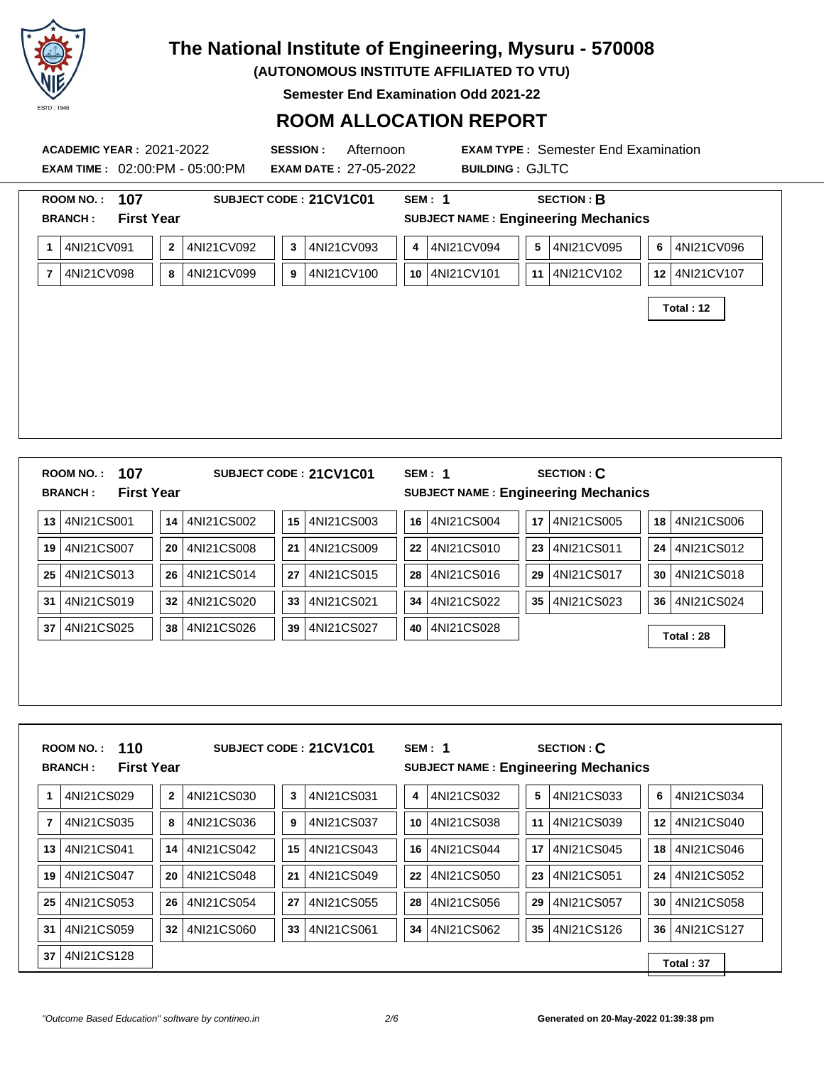

**(AUTONOMOUS INSTITUTE AFFILIATED TO VTU)**

**Semester End Examination Odd 2021-22**

### **ROOM ALLOCATION REPORT**

|    | <b>ACADEMIC YEAR : 2021-2022</b>    |              |               | <b>SESSION:</b><br>Afternoon<br>EXAM TIME: 02:00:PM - 05:00:PM EXAM DATE: 27-05-2022 |                 | <b>BUILDING: GJLTC</b>                     |                | <b>EXAM TYPE: Semester End Examination</b> |    |                 |  |
|----|-------------------------------------|--------------|---------------|--------------------------------------------------------------------------------------|-----------------|--------------------------------------------|----------------|--------------------------------------------|----|-----------------|--|
|    | 107<br><b>ROOM NO.:</b>             |              |               | SUBJECT CODE: 21CV1C01                                                               |                 | <b>SEM: 1</b>                              |                | <b>SECTION: B</b>                          |    |                 |  |
|    | <b>First Year</b><br><b>BRANCH:</b> |              |               |                                                                                      |                 | <b>SUBJECT NAME: Engineering Mechanics</b> |                |                                            |    |                 |  |
| 1. | 4NI21CV091                          | $\mathbf{2}$ | 4NI21CV092    | 4NI21CV093<br>$\mathbf{3}$                                                           | 4               | 4NI21CV094                                 | 5              | 4NI21CV095                                 | 6  | 4NI21CV096      |  |
| 7  | 4NI21CV098                          | 8            | 4NI21CV099    | 4NI21CV100<br>9                                                                      | 10 <sup>1</sup> | 4NI21CV101                                 | 11 I           | 4NI21CV102                                 |    | 12 4NI21CV107   |  |
|    |                                     |              |               |                                                                                      |                 |                                            |                |                                            |    | Total: 12       |  |
|    |                                     |              |               |                                                                                      |                 |                                            |                |                                            |    |                 |  |
|    |                                     |              |               |                                                                                      |                 |                                            |                |                                            |    |                 |  |
|    |                                     |              |               |                                                                                      |                 |                                            |                |                                            |    |                 |  |
|    |                                     |              |               |                                                                                      |                 |                                            |                |                                            |    |                 |  |
|    |                                     |              |               |                                                                                      |                 |                                            |                |                                            |    |                 |  |
|    |                                     |              |               |                                                                                      |                 |                                            |                |                                            |    |                 |  |
|    |                                     |              |               |                                                                                      |                 |                                            |                |                                            |    |                 |  |
|    |                                     |              |               |                                                                                      |                 |                                            |                |                                            |    |                 |  |
|    | 107<br><b>ROOM NO.:</b>             |              |               | SUBJECT CODE: 21CV1C01                                                               |                 | <b>SEM: 1</b>                              |                | <b>SECTION: C</b>                          |    |                 |  |
|    | <b>First Year</b><br><b>BRANCH:</b> |              |               |                                                                                      |                 | <b>SUBJECT NAME: Engineering Mechanics</b> |                |                                            |    |                 |  |
| 13 | 4NI21CS001                          | 14           | 4NI21CS002    | 4NI21CS003<br>15                                                                     | 16              | 4NI21CS004                                 |                | 17 4NI21CS005                              |    | 18 4NI21CS006   |  |
| 19 | 4NI21CS007                          | 20           | 4NI21CS008    | 4NI21CS009<br>21                                                                     | 22 <sub>1</sub> | 4NI21CS010                                 | 23             | 4NI21CS011                                 |    | 24 4NI21CS012   |  |
| 25 | 4NI21CS013                          | 26           | 4NI21CS014    | 4NI21CS015<br>27                                                                     | 28              | 4NI21CS016                                 | 29             | 4NI21CS017                                 |    | 30   4NI21CS018 |  |
| 31 | 4NI21CS019                          | 32           | 4NI21CS020    | 4NI21CS021<br>33                                                                     | 34              | 4NI21CS022                                 | 35 I           | 4NI21CS023                                 |    | 36 4NI21CS024   |  |
| 37 | 4NI21CS025                          | 38           | 4NI21CS026    | 4NI21CS027<br>39                                                                     | 40              | 4NI21CS028                                 |                |                                            |    | Total: 28       |  |
|    |                                     |              |               |                                                                                      |                 |                                            |                |                                            |    |                 |  |
|    |                                     |              |               |                                                                                      |                 |                                            |                |                                            |    |                 |  |
|    |                                     |              |               |                                                                                      |                 |                                            |                |                                            |    |                 |  |
|    |                                     |              |               |                                                                                      |                 |                                            |                |                                            |    |                 |  |
|    |                                     |              |               |                                                                                      |                 |                                            |                |                                            |    |                 |  |
|    | 110<br><b>ROOM NO.:</b>             |              |               | SUBJECT CODE: 21CV1C01                                                               |                 | <b>SEM: 1</b>                              |                | <b>SECTION: C</b>                          |    |                 |  |
|    | <b>First Year</b><br><b>BRANCH:</b> |              |               |                                                                                      |                 | <b>SUBJECT NAME: Engineering Mechanics</b> |                |                                            |    |                 |  |
|    |                                     |              |               |                                                                                      |                 |                                            |                |                                            |    |                 |  |
| 1. | 4NI21CS029                          | $\mathbf{2}$ | 4NI21CS030    | 4NI21CS031<br>3                                                                      | 4               | 4NI21CS032                                 | 5 <sub>1</sub> | 4NI21CS033                                 | 6  | 4NI21CS034      |  |
| 7  | 4NI21CS035                          | 8            | 4NI21CS036    | 4NI21CS037<br>9                                                                      | 10              | 4NI21CS038                                 | 11             | 4NI21CS039                                 | 12 | 4NI21CS040      |  |
| 13 | 4NI21CS041                          | 14           | 4NI21CS042    | 4NI21CS043<br>15                                                                     | 16              | 4NI21CS044                                 | 17             | 4NI21CS045                                 | 18 | 4NI21CS046      |  |
|    | 19 4NI21CS047                       |              | 20 4NI21CS048 | 4NI21CS049<br>21                                                                     |                 | 22 4NI21CS050                              |                | 23   4NI21CS051                            |    | 24 4NI21CS052   |  |

**25** 4NI21CS053 **26** 4NI21CS054 **27** 4NI21CS055 **28** 4NI21CS056 **29** 4NI21CS057 **30** 4NI21CS058

**31** 4NI21CS059 **32** 4NI21CS060 **33** 4NI21CS061 **34** 4NI21CS062 **35** 4NI21CS126 **36** 4NI21CS127

**<sup>37</sup>** 4NI21CS128 **Total : 37**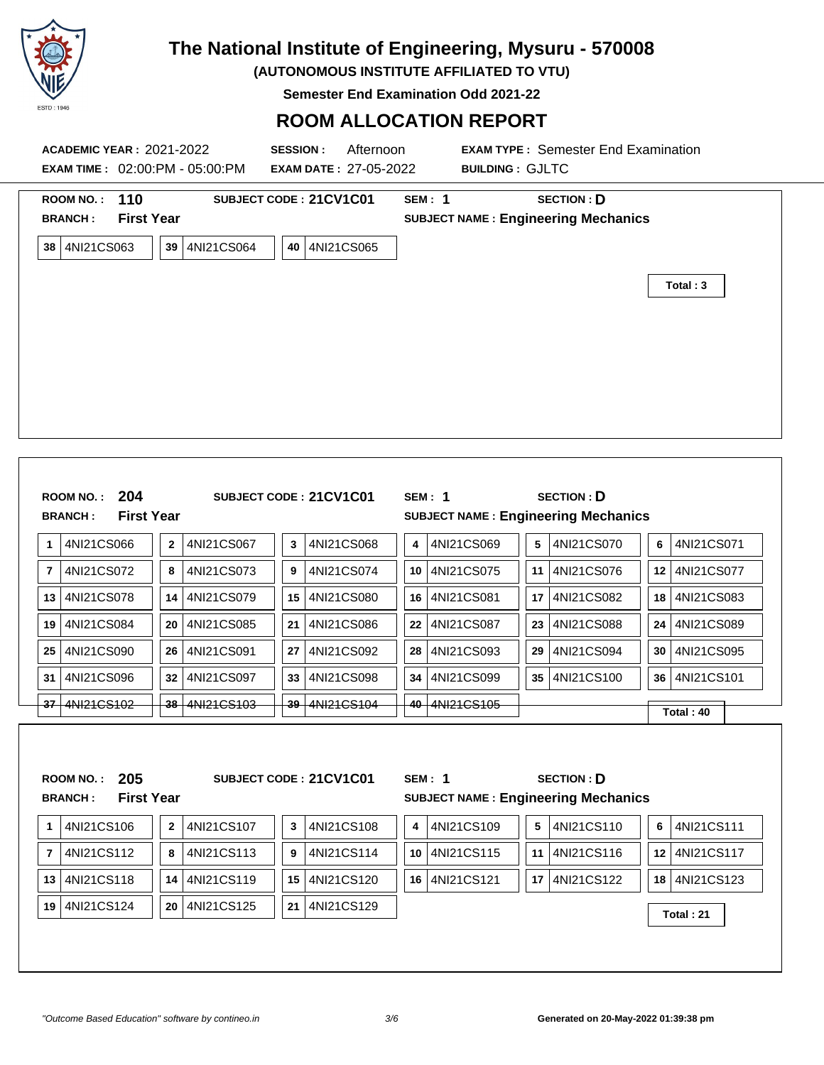

**(AUTONOMOUS INSTITUTE AFFILIATED TO VTU)**

**Semester End Examination Odd 2021-22**

### **ROOM ALLOCATION REPORT**

|                | ROOM NO.: 110<br><b>BRANCH:</b>    | <b>First Year</b>        |               |            |    | SUBJECT CODE: 21CV1C01     | <b>SEM: 1</b><br><b>SUBJECT NAME: Engineering Mechanics</b> |                | <b>SECTION: D</b> |    |                    |  |
|----------------|------------------------------------|--------------------------|---------------|------------|----|----------------------------|-------------------------------------------------------------|----------------|-------------------|----|--------------------|--|
|                | 38 4NI21CS063                      |                          | 39            | 4NI21CS064 |    | 40 4NI21CS065              |                                                             |                |                   |    | Total: 3           |  |
|                | <b>ROOM NO.:</b><br><b>BRANCH:</b> | 204<br><b>First Year</b> |               |            |    | SUBJECT CODE: 21CV1C01     | <b>SEM: 1</b><br><b>SUBJECT NAME: Engineering Mechanics</b> |                | <b>SECTION: D</b> |    |                    |  |
|                |                                    |                          |               |            |    |                            |                                                             |                |                   |    |                    |  |
|                | 4NI21CS066                         |                          | $\mathbf 2$   | 4NI21CS067 | 3  | 4NI21CS068                 | 4NI21CS069<br>4                                             | 5 <sup>1</sup> | 4NI21CS070        | 6  | 4NI21CS071         |  |
|                | 4NI21CS072                         |                          | 8             | 4NI21CS073 | 9  | 4NI21CS074                 | 4NI21CS075<br>10                                            | 11             | 4NI21CS076        |    | 12 4NI21CS077      |  |
| 1<br>7         | 4NI21CS078                         |                          | 14            | 4NI21CS079 | 15 | 4NI21CS080                 | 4NI21CS081<br>16                                            | 17             | 4NI21CS082        |    | 4NI21CS083<br>18 l |  |
|                | 4NI21CS084                         |                          | 20            | 4NI21CS085 | 21 | 4NI21CS086                 | 4NI21CS087<br>22                                            | 23             | 4NI21CS088        | 24 | 4NI21CS089         |  |
| 13<br>19<br>25 | 4NI21CS090                         |                          | 26            | 4NI21CS091 | 27 | 4NI21CS092                 | 28<br>4NI21CS093                                            | 29             | 4NI21CS094        |    | 30 4NI21CS095      |  |
|                | 4NI21CS096                         |                          | 32            | 4NI21CS097 | 33 | 4NI21CS098                 | 4NI21CS099<br>34                                            |                | 35 4NI21CS100     |    | 36 4NI21CS101      |  |
| 37             | <del>4NI21CS102</del>              |                          | <del>38</del> | 4NI21CS103 |    | <del>39   4NI21CS104</del> | 4NI21CS105<br>40                                            |                |                   |    | Total: 40          |  |
| 31             | <b>ROOM NO.:</b><br><b>BRANCH:</b> | 205<br><b>First Year</b> |               |            |    | SUBJECT CODE: 21CV1C01     | <b>SEM: 1</b><br><b>SUBJECT NAME: Engineering Mechanics</b> |                | <b>SECTION: D</b> |    |                    |  |
| 1              | 4NI21CS106                         |                          | $\mathbf 2$   | 4NI21CS107 | 3  | 4NI21CS108                 | 4NI21CS109<br>4                                             | 5 <sup>1</sup> | 4NI21CS110        | 6  | 4NI21CS111         |  |
| 7              | 4NI21CS112                         |                          | 8             | 4NI21CS113 | 9  | 4NI21CS114                 | 4NI21CS115<br>10                                            |                | 11 4NI21CS116     |    | 12 4NI21CS117      |  |
|                | 13 4NI21CS118                      |                          | 14            | 4NI21CS119 | 15 | 4NI21CS120                 | 16 4NI21CS121                                               |                | 17 4NI21CS122     |    | 18 4NI21CS123      |  |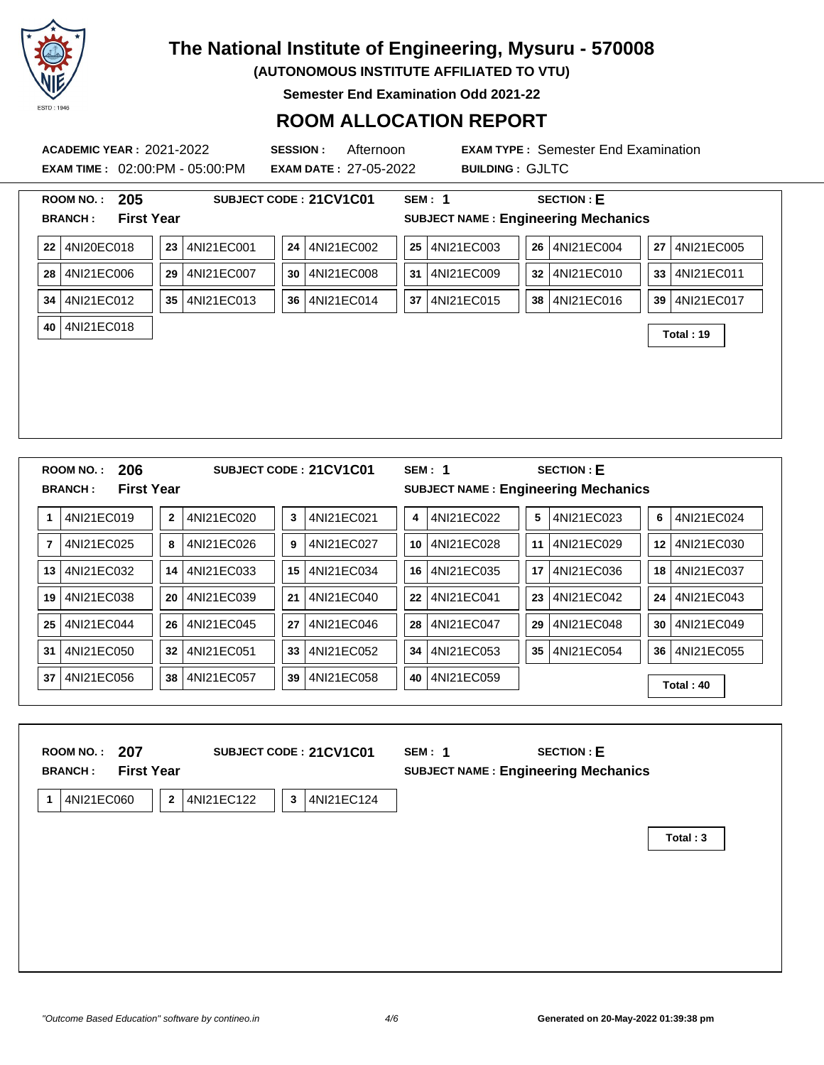

**(AUTONOMOUS INSTITUTE AFFILIATED TO VTU)**

**Semester End Examination Odd 2021-22**

### **ROOM ALLOCATION REPORT**

**EXAM TIME :** 02:00:PM - 05:00:PM **EXAM DATE :** 27-05-2022 **BUILDING :** GJLTC

**ACADEMIC YEAR :** 2021-2022 **SESSION :** Afternoon **EXAM TYPE :** Semester End Examination

| 205<br><b>ROOM NO.:</b>                    | SUBJECT CODE: 21CV1C01                        | <b>SECTION: E</b><br><b>SEM: 1</b>                              |                  |
|--------------------------------------------|-----------------------------------------------|-----------------------------------------------------------------|------------------|
| <b>First Year</b><br><b>BRANCH:</b>        |                                               | <b>SUBJECT NAME: Engineering Mechanics</b>                      |                  |
| 4NI20EC018<br>22                           | 4NI21EC001<br>4NI21EC002<br>23<br>24          | 25 4NI21EC003<br>4NI21EC004<br>26                               | 4NI21EC005<br>27 |
| 4NI21EC006<br>28                           | 4NI21EC007<br>4NI21EC008<br>30<br>29          | 4NI21EC009<br>4NI21EC010<br>31<br>32                            | 4NI21EC011<br>33 |
| 4NI21EC012<br>34                           | 4NI21EC013<br>4NI21EC014<br>36<br>35          | 4NI21EC015<br>4NI21EC016<br>37<br>38                            | 4NI21EC017<br>39 |
| 4NI21EC018<br>40                           |                                               |                                                                 | Total: 19        |
|                                            |                                               |                                                                 |                  |
|                                            |                                               |                                                                 |                  |
|                                            |                                               |                                                                 |                  |
|                                            |                                               |                                                                 |                  |
|                                            |                                               |                                                                 |                  |
| 206<br>ROOM NO.:                           | SUBJECT CODE: 21CV1C01                        | <b>SECTION: E</b><br><b>SEM: 1</b>                              |                  |
| <b>First Year</b><br><b>BRANCH:</b>        |                                               | <b>SUBJECT NAME: Engineering Mechanics</b>                      |                  |
| 4NI21EC019<br>$\mathbf{1}$                 | 4NI21EC020<br>4NI21EC021<br>$\mathbf{2}$<br>3 | 4NI21EC022<br>4NI21EC023<br>5<br>4                              | 6<br>4NI21EC024  |
| $\bf 7$<br>4NI21EC025                      | 4NI21EC027<br>8<br>4NI21EC026<br>9            | 10<br>4NI21EC028<br>11<br>4NI21EC029                            | 4NI21EC030<br>12 |
| 4NI21EC032<br>13                           | 4NI21EC033<br>4NI21EC034<br>14<br>15          | 4NI21EC035<br>4NI21EC036<br>16<br>17                            | 4NI21EC037<br>18 |
| 19<br>4NI21EC038                           | 4NI21EC039<br>21<br>4NI21EC040<br>20          | 4NI21EC041<br>4NI21EC042<br>22<br>23                            | 4NI21EC043<br>24 |
| 4NI21EC044<br>25                           | 4NI21EC045<br>4NI21EC046<br>26<br>27          | 4NI21EC048<br>4NI21EC047<br>29<br>28                            | 4NI21EC049<br>30 |
| 31<br>4NI21EC050                           | 32<br>4NI21EC051<br>33<br>4NI21EC052          | 4NI21EC053<br>4NI21EC054<br>34<br>35                            | 4NI21EC055<br>36 |
|                                            |                                               |                                                                 |                  |
| 37<br>4NI21EC056                           | 38<br>4NI21EC057<br>39<br>4NI21EC058          | 40<br>4NI21EC059                                                | Total: 40        |
|                                            |                                               |                                                                 |                  |
|                                            |                                               |                                                                 |                  |
| <b>ROOM NO.:</b>                           |                                               | <b>SEM: 1</b>                                                   |                  |
| 207<br><b>First Year</b><br><b>BRANCH:</b> | SUBJECT CODE: 21CV1C01                        | <b>SECTION: E</b><br><b>SUBJECT NAME: Engineering Mechanics</b> |                  |
| 4NI21EC060<br>$\mathbf{1}$                 | $\mathbf{2}$<br>4NI21EC122<br>3<br>4NI21EC124 |                                                                 |                  |

**Total : 3**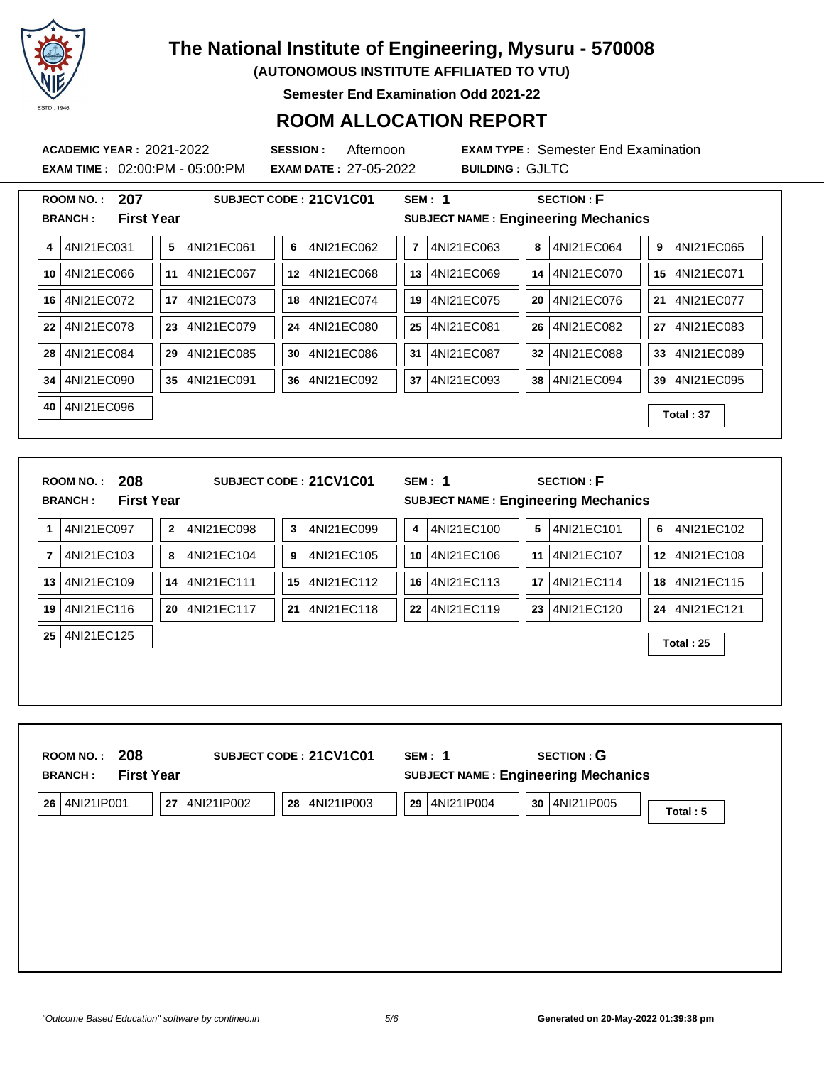

**(AUTONOMOUS INSTITUTE AFFILIATED TO VTU)**

**Semester End Examination Odd 2021-22**

### **ROOM ALLOCATION REPORT**

**EXAM TIME :** 02:00:PM - 05:00:PM **EXAM DATE :** 27-05-2022 **BUILDING :** GJLTC

**ACADEMIC YEAR :** 2021-2022 **SESSION :** Afternoon **EXAM TYPE :** Semester End Examination

|                | 207<br>ROOM NO.:                                               |                 | SUBJECT CODE: 21CV1C01 |    |            |                         | <b>SEM: 1</b> |    | <b>SECTION: F</b>                                               |                 |            |
|----------------|----------------------------------------------------------------|-----------------|------------------------|----|------------|-------------------------|---------------|----|-----------------------------------------------------------------|-----------------|------------|
|                | <b>First Year</b><br><b>BRANCH:</b>                            |                 |                        |    |            |                         |               |    | <b>SUBJECT NAME: Engineering Mechanics</b>                      |                 |            |
| 4              | 4NI21EC031                                                     | 5               | 4NI21EC061             | 6  | 4NI21EC062 | $\overline{\mathbf{r}}$ | 4NI21EC063    | 8  | 4NI21EC064                                                      | 9               | 4NI21EC065 |
| 10             | 4NI21EC066                                                     | 11              | 4NI21EC067             | 12 | 4NI21EC068 | 13                      | 4NI21EC069    | 14 | 4NI21EC070                                                      | 15 <sup>1</sup> | 4NI21EC071 |
| 16             | 4NI21EC072                                                     | 17 <sub>1</sub> | 4NI21EC073             | 18 | 4NI21EC074 | 19                      | 4NI21EC075    | 20 | 4NI21EC076                                                      | $21 \mid$       | 4NI21EC077 |
| 22             | 4NI21EC078                                                     | 23              | 4NI21EC079             | 24 | 4NI21EC080 | 25                      | 4NI21EC081    | 26 | 4NI21EC082                                                      | 27              | 4NI21EC083 |
| 28             | 4NI21EC084                                                     | 29              | 4NI21EC085             | 30 | 4NI21EC086 | 31                      | 4NI21EC087    | 32 | 4NI21EC088                                                      | 33 <sup>1</sup> | 4NI21EC089 |
| 34             | 4NI21EC090                                                     | 35              | 4NI21EC091             | 36 | 4NI21EC092 | 37                      | 4NI21EC093    | 38 | 4NI21EC094                                                      | 39              | 4NI21EC095 |
| 40             | 4NI21EC096                                                     |                 |                        |    |            |                         |               |    |                                                                 |                 | Total: 37  |
|                |                                                                |                 |                        |    |            |                         |               |    |                                                                 |                 |            |
|                | 208<br><b>ROOM NO.:</b><br><b>First Year</b><br><b>BRANCH:</b> |                 | SUBJECT CODE: 21CV1C01 |    |            |                         | <b>SEM: 1</b> |    | <b>SECTION: F</b><br><b>SUBJECT NAME: Engineering Mechanics</b> |                 |            |
| 1              | 4NI21EC097                                                     | $\mathbf{2}$    | 4NI21EC098             | 3  | 4NI21EC099 | 4                       | 4NI21EC100    |    | 5<br>4NI21EC101                                                 | 6               | 4NI21EC102 |
|                |                                                                |                 |                        |    |            |                         |               |    |                                                                 |                 |            |
| $\overline{7}$ | 4NI21EC103                                                     | 8               | 4NI21EC104             | 9  | 4NI21EC105 | 10                      | 4NI21EC106    | 11 | 4NI21EC107                                                      | 12 <sup>1</sup> | 4NI21EC108 |
| 13             | 4NI21EC109                                                     | 14              | 4NI21EC111             | 15 | 4NI21EC112 | 16                      | 4NI21EC113    | 17 | 4NI21EC114                                                      | 18 I            | 4NI21EC115 |
| 19             | 4NI21EC116                                                     | 20              | 4NI21EC117             | 21 | 4NI21EC118 | 22                      | 4NI21EC119    | 23 | 4NI21EC120                                                      | 24              | 4NI21EC121 |
| 25             | 4NI21EC125                                                     |                 |                        |    |            |                         |               |    |                                                                 |                 | Total: 25  |
|                |                                                                |                 |                        |    |            |                         |               |    |                                                                 |                 |            |
|                |                                                                |                 |                        |    |            |                         |               |    |                                                                 |                 |            |
|                |                                                                |                 |                        |    |            |                         |               |    |                                                                 |                 |            |
|                | 208<br><b>ROOM NO.:</b><br><b>First Year</b><br><b>BRANCH:</b> |                 | SUBJECT CODE: 21CV1C01 |    |            |                         | <b>SEM: 1</b> |    | <b>SECTION: G</b><br><b>SUBJECT NAME: Engineering Mechanics</b> |                 |            |